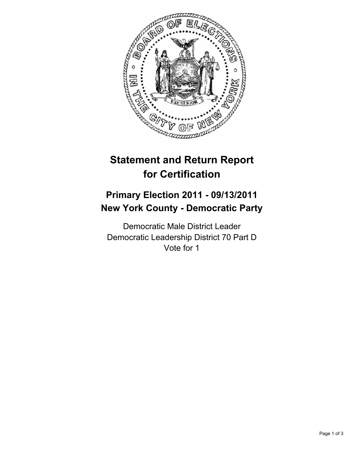

# **Statement and Return Report for Certification**

## **Primary Election 2011 - 09/13/2011 New York County - Democratic Party**

Democratic Male District Leader Democratic Leadership District 70 Part D Vote for 1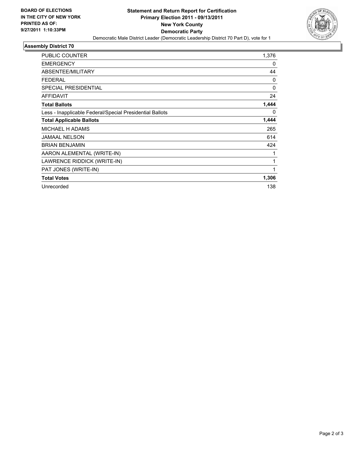

### **Assembly District 70**

| <b>PUBLIC COUNTER</b>                                    | 1,376    |
|----------------------------------------------------------|----------|
| <b>EMERGENCY</b>                                         | 0        |
| ABSENTEE/MILITARY                                        | 44       |
| <b>FEDERAL</b>                                           | 0        |
| <b>SPECIAL PRESIDENTIAL</b>                              | $\Omega$ |
| <b>AFFIDAVIT</b>                                         | 24       |
| <b>Total Ballots</b>                                     | 1,444    |
| Less - Inapplicable Federal/Special Presidential Ballots | 0        |
| <b>Total Applicable Ballots</b>                          | 1,444    |
| <b>MICHAEL H ADAMS</b>                                   | 265      |
| <b>JAMAAL NELSON</b>                                     | 614      |
| <b>BRIAN BENJAMIN</b>                                    | 424      |
| AARON ALEMENTAL (WRITE-IN)                               |          |
| LAWRENCE RIDDICK (WRITE-IN)                              | 1        |
| PAT JONES (WRITE-IN)                                     | 1        |
| <b>Total Votes</b>                                       | 1,306    |
| Unrecorded                                               | 138      |